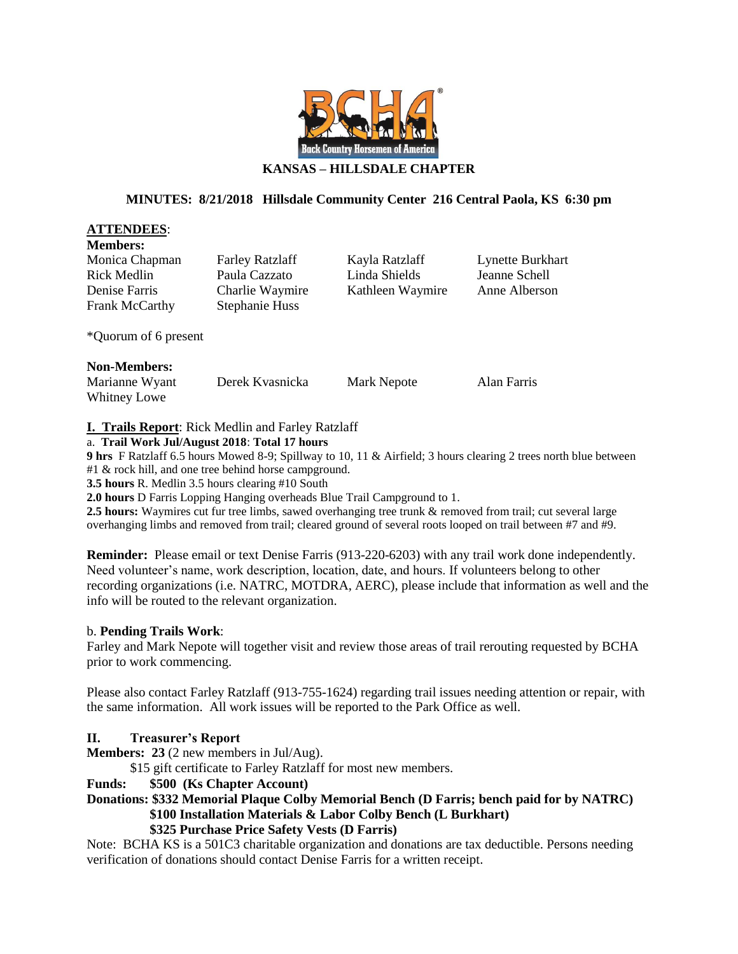

# **KANSAS – HILLSDALE CHAPTER**

#### **MINUTES: 8/21/2018 Hillsdale Community Center 216 Central Paola, KS 6:30 pm**

#### **ATTENDEES**:

**Members:**

Monica Chapman Farley Ratzlaff Kayla Ratzlaff Lynette Burkhart Rick Medlin Paula Cazzato Linda Shields Jeanne Schell Denise Farris Charlie Waymire Kathleen Waymire Anne Alberson Frank McCarthy Stephanie Huss

\*Quorum of 6 present

#### **Non-Members:**

Marianne Wyant Derek Kvasnicka Mark Nepote Alan Farris Whitney Lowe

## **I. Trails Report**: Rick Medlin and Farley Ratzlaff

a. **Trail Work Jul/August 2018**: **Total 17 hours**

**9 hrs** F Ratzlaff 6.5 hours Mowed 8-9; Spillway to 10, 11 & Airfield; 3 hours clearing 2 trees north blue between #1 & rock hill, and one tree behind horse campground.

**3.5 hours** R. Medlin 3.5 hours clearing #10 South

**2.0 hours** D Farris Lopping Hanging overheads Blue Trail Campground to 1.

**2.5 hours:** Waymires cut fur tree limbs, sawed overhanging tree trunk & removed from trail; cut several large overhanging limbs and removed from trail; cleared ground of several roots looped on trail between #7 and #9.

**Reminder:** Please email or text Denise Farris (913-220-6203) with any trail work done independently. Need volunteer's name, work description, location, date, and hours. If volunteers belong to other recording organizations (i.e. NATRC, MOTDRA, AERC), please include that information as well and the info will be routed to the relevant organization.

## b. **Pending Trails Work**:

Farley and Mark Nepote will together visit and review those areas of trail rerouting requested by BCHA prior to work commencing.

Please also contact Farley Ratzlaff (913-755-1624) regarding trail issues needing attention or repair, with the same information. All work issues will be reported to the Park Office as well.

## **II. Treasurer's Report**

**Members: 23** (2 new members in Jul/Aug).

\$15 gift certificate to Farley Ratzlaff for most new members.

# **Funds: \$500 (Ks Chapter Account)**

**Donations: \$332 Memorial Plaque Colby Memorial Bench (D Farris; bench paid for by NATRC) \$100 Installation Materials & Labor Colby Bench (L Burkhart) \$325 Purchase Price Safety Vests (D Farris)**

Note: BCHA KS is a 501C3 charitable organization and donations are tax deductible. Persons needing verification of donations should contact Denise Farris for a written receipt.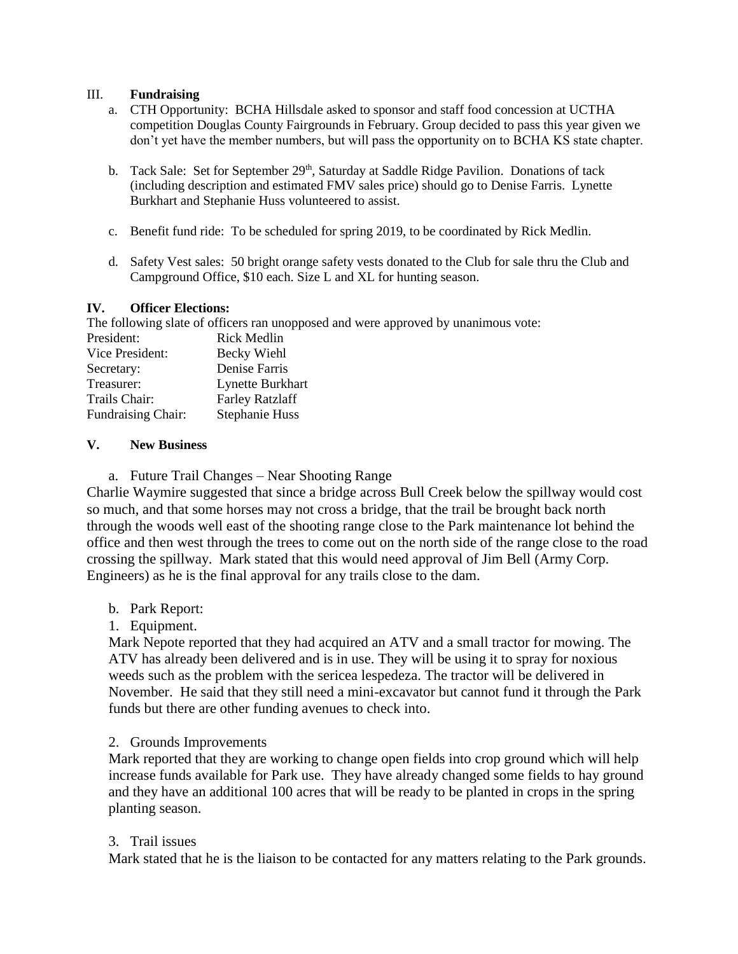## III. **Fundraising**

- a. CTH Opportunity: BCHA Hillsdale asked to sponsor and staff food concession at UCTHA competition Douglas County Fairgrounds in February. Group decided to pass this year given we don't yet have the member numbers, but will pass the opportunity on to BCHA KS state chapter.
- b. Tack Sale: Set for September 29<sup>th</sup>, Saturday at Saddle Ridge Pavilion. Donations of tack (including description and estimated FMV sales price) should go to Denise Farris. Lynette Burkhart and Stephanie Huss volunteered to assist.
- c. Benefit fund ride: To be scheduled for spring 2019, to be coordinated by Rick Medlin.
- d. Safety Vest sales: 50 bright orange safety vests donated to the Club for sale thru the Club and Campground Office, \$10 each. Size L and XL for hunting season.

## **IV. Officer Elections:**

The following slate of officers ran unopposed and were approved by unanimous vote:

| President:                | <b>Rick Medlin</b>     |
|---------------------------|------------------------|
| Vice President:           | Becky Wiehl            |
| Secretary:                | Denise Farris          |
| Treasurer:                | Lynette Burkhart       |
| Trails Chair:             | <b>Farley Ratzlaff</b> |
| <b>Fundraising Chair:</b> | <b>Stephanie Huss</b>  |

## **V. New Business**

a. Future Trail Changes – Near Shooting Range

Charlie Waymire suggested that since a bridge across Bull Creek below the spillway would cost so much, and that some horses may not cross a bridge, that the trail be brought back north through the woods well east of the shooting range close to the Park maintenance lot behind the office and then west through the trees to come out on the north side of the range close to the road crossing the spillway. Mark stated that this would need approval of Jim Bell (Army Corp. Engineers) as he is the final approval for any trails close to the dam.

- b. Park Report:
- 1. Equipment.

Mark Nepote reported that they had acquired an ATV and a small tractor for mowing. The ATV has already been delivered and is in use. They will be using it to spray for noxious weeds such as the problem with the sericea lespedeza. The tractor will be delivered in November. He said that they still need a mini-excavator but cannot fund it through the Park funds but there are other funding avenues to check into.

# 2. Grounds Improvements

Mark reported that they are working to change open fields into crop ground which will help increase funds available for Park use. They have already changed some fields to hay ground and they have an additional 100 acres that will be ready to be planted in crops in the spring planting season.

# 3. Trail issues

Mark stated that he is the liaison to be contacted for any matters relating to the Park grounds.